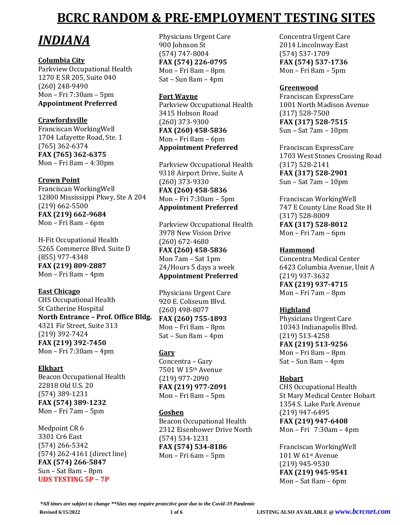# *INDIANA*

### **Columbia City**

Parkview Occupational Health 1270 E SR 205, Suite 040 (260) 248-9490 Mon – Fri 7:30am – 5pm **Appointment Preferred** 

# **Crawfordsville**

Franciscan WorkingWell 1704 Lafayette Road, Ste. 1 (765) 362-6374 **FAX (765) 362-6375** Mon – Fri 8am – 4:30pm

### **Crown Point**

Franciscan WorkingWell 12800 Mississippi Pkwy, Ste A 204 (219) 662-5500 **FAX (219) 662-9684** Mon – Fri 8am – 6pm

H-Fit Occupational Health 5265 Commerce Blvd. Suite D (855) 977-4348 **FAX (219) 809-2887** Mon – Fri 8am – 4pm

### **East Chicago**

CHS Occupational Health St Catherine Hospital **North Entrance – Prof. Office Bldg.** 4321 Fir Street, Suite 313 (219) 392-7424 **FAX (219) 392-7450** Mon – Fri 7:30am – 4pm

### **Elkhart**

Beacon Occupational Health 22818 Old U.S. 20 (574) 389-1231 **FAX (574) 389-1232** Mon – Fri 7am – 5pm

Medpoint CR 6 3301 Cr6 East (574) 266-5342 (574) 262-4161 (direct line) **FAX (574) 266-5847** Sun – Sat 8am – 8pm **UDS TESTING 5P – 7P**

Physicians Urgent Care 900 Johnson St (574) 747-8004 **FAX (574) 226-0795** Mon – Fri 8am – 8pm Sat – Sun 8am – 4pm

### **Fort Wayne**

Parkview Occupational Health 3415 Hobson Road (260) 373-9300 **FAX (260) 458-5836** Mon – Fri 8am – 6pm **Appointment Preferred**

Parkview Occupational Health 9318 Airport Drive, Suite A (260) 373-9330 **FAX (260) 458-5836** Mon – Fri 7:30am – 5pm **Appointment Preferred**

Parkview Occupational Health 3978 New Vision Drive (260) 672-4680 **FAX (260) 458-5836** Mon 7am – Sat 1pm 24/Hours 5 days a week **Appointment Preferred**

Physicians Urgent Care 920 E. Coliseum Blvd. (260) 498-8077 **FAX (260) 755-1893** Mon – Fri 8am – 8pm Sat – Sun 8am – 4pm

# **Gary**

Concentra – Gary 7501 W 15th Avenue (219) 977-2090 **FAX (219) 977-2091** Mon – Fri 8am – 5pm

### **Goshen**

Beacon Occupational Health 2312 Eisenhower Drive North (574) 534-1231 **FAX (574) 534-8186** Mon – Fri 6am – 5pm

Concentra Urgent Care 2014 Lincolnway East (574) 537-1709 **FAX (574) 537-1736** Mon – Fri 8am – 5pm

### **Greenwood**

Franciscan ExpressCare 1001 North Madison Avenue (317) 528-7500 **FAX (317) 528-7515** Sun – Sat 7am – 10pm

Franciscan ExpressCare 1703 West Stones Crossing Road (317) 528-2141 **FAX (317) 528-2901** Sun – Sat 7am – 10pm

Franciscan WorkingWell 747 E County Line Road Ste H (317) 528-8009 **FAX (317) 528-8012** Mon – Fri 7am – 6pm

### **Hammond**

Concentra Medical Center 6423 Columbia Avenue, Unit A (219) 937-3632 **FAX (219) 937-4715** Mon – Fri 7am – 8pm

### **Highland**

Physicians Urgent Care 10343 Indianapolis Blvd. (219) 513-4258 **FAX (219) 513-9256** Mon – Fri 8am – 8pm Sat – Sun 8am – 4pm

### **Hobart**

CHS Occupational Health St Mary Medical Center Hobart 1354 S. Lake Park Avenue (219) 947-6495 **FAX (219) 947-6408** Mon – Fri 7:30am – 4pm

Franciscan WorkingWell 101 W 61st Avenue (219) 945-9530 **FAX (219) 945-9541** Mon – Sat 8am – 6pm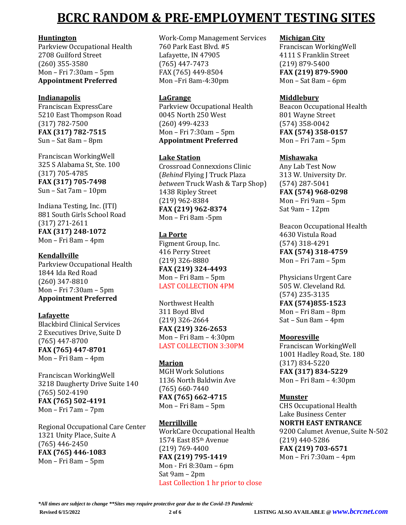### **Huntington**

Parkview Occupational Health 2708 Guilford Street (260) 355-3580 Mon – Fri 7:30am – 5pm **Appointment Preferred**

### **Indianapolis**

Franciscan ExpressCare 5210 East Thompson Road (317) 782-7500 **FAX (317) 782-7515** Sun – Sat 8am – 8pm

Franciscan WorkingWell 325 S Alabama St, Ste. 100 (317) 705-4785 **FAX (317) 705-7498** Sun – Sat 7am – 10pm

Indiana Testing, Inc. (ITI) 881 South Girls School Road (317) 271-2611 **FAX (317) 248-1072** Mon – Fri 8am – 4pm

### **Kendallville**

Parkview Occupational Health 1844 Ida Red Road (260) 347-8810 Mon – Fri 7:30am – 5pm **Appointment Preferred**

# **Lafayette**

Blackbird Clinical Services 2 Executives Drive, Suite D (765) 447-8700 **FAX (765) 447-8701** Mon – Fri 8am – 4pm

Franciscan WorkingWell 3218 Daugherty Drive Suite 140 (765) 502-4190 **FAX (765) 502-4191** Mon – Fri 7am – 7pm

Regional Occupational Care Center 1321 Unity Place, Suite A (765) 446-2450 **FAX (765) 446-1083** Mon – Fri 8am – 5pm

Work-Comp Management Services 760 Park East Blvd. #5 Lafayette, IN 47905 (765) 447-7473 FAX (765) 449-8504 Mon –Fri 8am-4:30pm

### **LaGrange**

Parkview Occupational Health 0045 North 250 West (260) 499-4233 Mon – Fri 7:30am – 5pm **Appointment Preferred**

### **Lake Station**

Crossroad Connexxions Clinic (*Behind* Flying J Truck Plaza *between* Truck Wash & Tarp Shop) 1438 Ripley Street (219) 962-8384 **FAX (219) 962-8374** Mon – Fri 8am -5pm

### **La Porte**

Figment Group, Inc. 416 Perry Street (219) 326-8880 **FAX (219) 324-4493** Mon – Fri 8am – 5pm LAST COLLECTION 4PM

Northwest Health 311 Boyd Blvd (219) 326-2664 **FAX (219) 326-2653** Mon – Fri 8am – 4:30pm LAST COLLECTION 3:30PM

# **Marion**

MGH Work Solutions 1136 North Baldwin Ave (765) 660-7440 **FAX (765) 662-4715** Mon – Fri 8am – 5pm

### **Merrillville**

WorkCare Occupational Health 1574 East 85th Avenue (219) 769-4400 **FAX (219) 795-1419** Mon - Fri 8:30am – 6pm Sat 9am – 2pm Last Collection 1 hr prior to close

### **Michigan City**

Franciscan WorkingWell 4111 S Franklin Street (219) 879-5400 **FAX (219) 879-5900** Mon – Sat 8am – 6pm

### **Middlebury**

Beacon Occupational Health 801 Wayne Street (574) 358-0042 **FAX (574) 358-0157** Mon – Fri 7am – 5pm

### **Mishawaka**

Any Lab Test Now 313 W. University Dr. (574) 287-5041 **FAX (574) 968-0298** Mon – Fri 9am – 5pm Sat 9am – 12pm

Beacon Occupational Health 4630 Vistula Road (574) 318-4291 **FAX (574) 318-4759** Mon – Fri 7am – 5pm

Physicians Urgent Care 505 W. Cleveland Rd. (574) 235-3135 **FAX (574)855-1523** Mon – Fri 8am – 8pm Sat – Sun 8am – 4pm

### **Mooresville**

Franciscan WorkingWell 1001 Hadley Road, Ste. 180 (317) 834-5220 **FAX (317) 834-5229** Mon – Fri 8am – 4:30pm

# **Munster**

CHS Occupational Health Lake Business Center **NORTH EAST ENTRANCE** 9200 Calumet Avenue, Suite N-502 (219) 440-5286 **FAX (219) 703-6571** Mon – Fri 7:30am – 4pm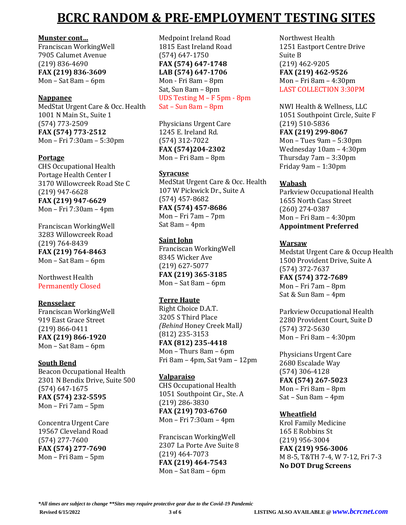#### **Munster cont…**

Franciscan WorkingWell 7905 Calumet Avenue (219) 836-4690 **FAX (219) 836-3609** Mon – Sat 8am – 6pm

### **Nappanee**

MedStat Urgent Care & Occ. Health 1001 N Main St., Suite 1 (574) 773-2509 **FAX (574) 773-2512** Mon – Fri 7:30am – 5:30pm

### **Portage**

CHS Occupational Health Portage Health Center I 3170 Willowcreek Road Ste C (219) 947-6628 **FAX (219) 947-6629** Mon – Fri 7:30am – 4pm

Franciscan WorkingWell 3283 Willowcreek Road (219) 764-8439 **FAX (219) 764-8463** Mon – Sat 8am – 6pm

Northwest Health Permanently Closed

### **Rensselaer**

Franciscan WorkingWell 919 East Grace Street (219) 866-0411 **FAX (219) 866-1920** Mon – Sat 8am – 6pm

### **South Bend**

Beacon Occupational Health 2301 N Bendix Drive, Suite 500 (574) 647-1675 **FAX (574) 232-5595** Mon – Fri 7am – 5pm

Concentra Urgent Care 19567 Cleveland Road (574) 277-7600 **FAX (574) 277-7690** Mon – Fri 8am – 5pm

Medpoint Ireland Road 1815 East Ireland Road (574) 647-1750 **FAX (574) 647-1748 LAB (574) 647-1706** Mon - Fri 8am – 8pm Sat, Sun 8am – 8pm UDS Testing M – F 5pm - 8pm Sat – Sun 8am – 8pm

Physicians Urgent Care 1245 E. Ireland Rd. (574) 312-7022 **FAX (574)204-2302** Mon – Fri 8am – 8pm

### **Syracuse**

MedStat Urgent Care & Occ. Health 107 W Pickwick Dr., Suite A (574) 457-8682 **FAX (574) 457-8686** Mon – Fri 7am – 7pm

Sat 8am – 4pm

## **Saint John**

Franciscan WorkingWell 8345 Wicker Ave (219) 627-5077 **FAX (219) 365-3185** Mon – Sat 8am – 6pm

### **Terre Haute**

Right Choice D.A.T. 3205 S Third Place *(Behind* Honey Creek Mall*)* (812) 235-3153 **FAX (812) 235-4418** Mon – Thurs 8am – 6pm Fri 8am – 4pm, Sat 9am – 12pm

### **Valparaiso**

CHS Occupational Health 1051 Southpoint Cir., Ste. A (219) 286-3830 **FAX (219) 703-6760** Mon – Fri 7:30am – 4pm

Franciscan WorkingWell 2307 La Porte Ave Suite 8 (219) 464-7073 **FAX (219) 464-7543** Mon – Sat 8am – 6pm

Northwest Health 1251 Eastport Centre Drive Suite B (219) 462-9205 **FAX (219) 462-9526** Mon – Fri 8am – 4:30pm LAST COLLECTION 3:30PM

NWI Health & Wellness, LLC 1051 Southpoint Circle, Suite F (219) 510-5836 **FAX (219) 299-8067** Mon – Tues 9am – 5:30pm Wednesday 10am – 4:30pm Thursday 7am – 3:30pm

Friday 9am – 1:30pm

## **Wabash**

Parkview Occupational Health 1655 North Cass Street (260) 274-0387 Mon – Fri 8am – 4:30pm **Appointment Preferred**

### **Warsaw**

Medstat Urgent Care & Occup Health 1500 Provident Drive, Suite A (574) 372-7637 **FAX (574) 372-7689** Mon – Fri 7am – 8pm Sat & Sun 8am – 4pm

Parkview Occupational Health 2280 Provident Court, Suite D (574) 372-5630 Mon – Fri 8am – 4:30pm

Physicians Urgent Care 2680 Escalade Way (574) 306-4128 **FAX (574) 267-5023** Mon – Fri 8am – 8pm Sat – Sun 8am – 4pm

# **Wheatfield**

Krol Family Medicine 165 E Robbins St (219) 956-3004 **FAX (219) 956-3006** M 8-5, T&TH 7-4, W 7-12, Fri 7-3 **No DOT Drug Screens**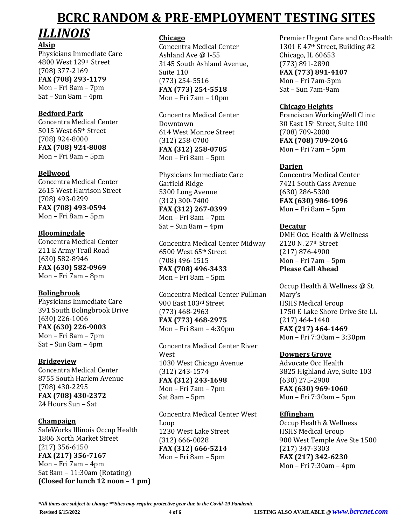# *ILLINOIS* **Alsip**

Physicians Immediate Care 4800 West 129th Street (708) 377-2169 **FAX (708) 293-1179** Mon – Fri 8am – 7pm Sat – Sun 8am – 4pm

# **Bedford Park**

Concentra Medical Center 5015 West 65th Street (708) 924-8000 **FAX (708) 924-8008** Mon – Fri 8am – 5pm

# **Bellwood**

Concentra Medical Center 2615 West Harrison Street (708) 493-0299 **FAX (708) 493-0594** Mon – Fri 8am – 5pm

# **Bloomingdale**

Concentra Medical Center 211 E Army Trail Road (630) 582-8946 **FAX (630) 582-0969** Mon – Fri 7am – 8pm

# **Bolingbrook**

Physicians Immediate Care 391 South Bolingbrook Drive (630) 226-1006 **FAX (630) 226-9003** Mon – Fri 8am – 7pm Sat – Sun 8am – 4pm

# **Bridgeview**

Concentra Medical Center 8755 South Harlem Avenue (708) 430-2295 **FAX (708) 430-2372** 24 Hours Sun – Sat

# **Champaign**

SafeWorks Illinois Occup Health 1806 North Market Street (217) 356-6150 **FAX (217) 356-7167** Mon – Fri 7am – 4pm Sat 8am – 11:30am (Rotating) **(Closed for lunch 12 noon – 1 pm)**

## **Chicago**

Concentra Medical Center Ashland Ave @ I-55 3145 South Ashland Avenue, Suite 110 (773) 254-5516 **FAX (773) 254-5518** Mon – Fri 7am – 10pm

Concentra Medical Center Downtown 614 West Monroe Street (312) 258-0700 **FAX (312) 258-0705** Mon – Fri 8am – 5pm

Physicians Immediate Care Garfield Ridge 5300 Long Avenue (312) 300-7400 **FAX (312) 267-0399** Mon – Fri 8am – 7pm Sat – Sun 8am – 4pm

Concentra Medical Center Midway 6500 West 65th Street (708) 496-1515 **FAX (708) 496-3433** Mon – Fri 8am – 5pm

Concentra Medical Center Pullman 900 East 103rd Street (773) 468-2963 **FAX (773) 468-2975** Mon – Fri 8am – 4:30pm

Concentra Medical Center River West 1030 West Chicago Avenue (312) 243-1574 **FAX (312) 243-1698** Mon – Fri 7am – 7pm Sat 8am – 5pm

Concentra Medical Center West Loop 1230 West Lake Street (312) 666-0028 **FAX (312) 666-5214** Mon – Fri 8am – 5pm

Premier Urgent Care and Occ-Health 1301 E 47th Street, Building #2 Chicago, IL 60653 (773) 891-2890 **FAX (773) 891-4107** Mon – Fri 7am-5pm Sat – Sun 7am-9am

### **Chicago Heights**

Franciscan WorkingWell Clinic 30 East 15<sup>h</sup> Street, Suite 100 (708) 709-2000 **FAX (708) 709-2046** Mon – Fri 7am – 5pm

### **Darien**

Concentra Medical Center 7421 South Cass Avenue (630) 286-5300 **FAX (630) 986-1096** Mon – Fri 8am – 5pm

### **Decatur**

DMH Occ. Health & Wellness 2120 N. 27th Street (217) 876-4900 Mon – Fri 7am – 5pm **Please Call Ahead**

Occup Health & Wellness @ St. Mary's HSHS Medical Group 1750 E Lake Shore Drive Ste LL (217) 464-1440 **FAX (217) 464-1469** Mon – Fri 7:30am – 3:30pm

# **Downers Grove**

Advocate Occ Health 3825 Highland Ave, Suite 103 (630) 275-2900 **FAX (630) 969-1060** Mon – Fri 7:30am – 5pm

### **Effingham**

Occup Health & Wellness HSHS Medical Group 900 West Temple Ave Ste 1500 (217) 347-3303 **FAX (217) 342-6230** Mon – Fri 7:30am – 4pm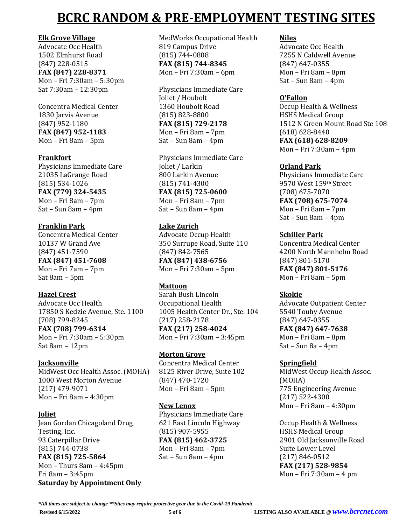### **Elk Grove Village**

Advocate Occ Health 1502 Elmhurst Road (847) 228-0515 **FAX (847) 228-8371** Mon – Fri 7:30am – 5:30pm Sat 7:30am – 12:30pm

Concentra Medical Center 1830 Jarvis Avenue (847) 952-1180 **FAX (847) 952-1183** Mon – Fri 8am – 5pm

### **Frankfort**

Physicians Immediate Care 21035 LaGrange Road (815) 534-1026 **FAX (779) 324-5435** Mon – Fri 8am – 7pm Sat – Sun 8am – 4pm

## **Franklin Park**

Concentra Medical Center 10137 W Grand Ave (847) 451-7590 **FAX (847) 451-7608** Mon – Fri 7am – 7pm Sat 8am – 5pm

### **Hazel Crest**

Advocate Occ Health 17850 S Kedzie Avenue, Ste. 1100 (708) 799-8245 **FAX (708) 799-6314** Mon – Fri 7:30am – 5:30pm Sat 8am – 12pm

# **Jacksonville**

MidWest Occ Health Assoc. (MOHA) 1000 West Morton Avenue (217) 479-9071 Mon – Fri 8am – 4:30pm

### **Joliet**

Jean Gordan Chicagoland Drug Testing, Inc. 93 Caterpillar Drive (815) 744-0738 **FAX (815) 725-5864** Mon – Thurs 8am – 4:45pm Fri 8am – 3:45pm **Saturday by Appointment Only**

MedWorks Occupational Health 819 Campus Drive (815) 744-0808 **FAX (815) 744-8345** Mon – Fri 7:30am – 6pm

Physicians Immediate Care Joliet / Houbolt 1360 Houbolt Road (815) 823-8800 **FAX (815) 729-2178** Mon – Fri 8am – 7pm Sat – Sun 8am – 4pm

Physicians Immediate Care Joliet / Larkin 800 Larkin Avenue (815) 741-4300 **FAX (815) 725-0600** Mon – Fri 8am – 7pm Sat – Sun 8am – 4pm

### **Lake Zurich**

Advocate Occup Health 350 Surrupe Road, Suite 110 (847) 842-7565 **FAX (847) 438-6756** Mon – Fri 7:30am – 5pm

### **Mattoon**

Sarah Bush Lincoln Occupational Health 1005 Health Center Dr., Ste. 104 (217) 258-2178 **FAX (217) 258-4024** Mon – Fri 7:30am – 3:45pm

### **Morton Grove**

Concentra Medical Center 8125 River Drive, Suite 102 (847) 470-1720 Mon – Fri 8am – 5pm

### **New Lenox**

Physicians Immediate Care 621 East Lincoln Highway (815) 907-5955 **FAX (815) 462-3725** Mon – Fri 8am – 7pm Sat – Sun 8am – 4pm

## **Niles**

Advocate Occ Health 7255 N Caldwell Avenue (847) 647-0355 Mon – Fri 8am – 8pm Sat – Sun 8am – 4pm

### **O'Fallon**

Occup Health & Wellness HSHS Medical Group 1512 N Green Mount Road Ste 108 (618) 628-8440 **FAX (618) 628-8209** Mon – Fri 7:30am – 4pm

### **Orland Park**

Physicians Immediate Care 9570 West 159th Street (708) 675-7070 **FAX (708) 675-7074** Mon – Fri 8am – 7pm Sat – Sun 8am – 4pm

### **Schiller Park**

Concentra Medical Center 4200 North Mannhelm Road (847) 801-5170 **FAX (847) 801-5176** Mon – Fri 8am – 5pm

### **Skokie**

Advocate Outpatient Center 5540 Touhy Avenue (847) 647-0355 **FAX (847) 647-7638** Mon – Fri 8am – 8pm Sat – Sun 8a – 4pm

### **Springfield**

MidWest Occup Health Assoc. (MOHA) 775 Engineering Avenue (217) 522-4300 Mon – Fri 8am – 4:30pm

Occup Health & Wellness HSHS Medical Group 2901 Old Jacksonville Road Suite Lower Level (217) 846-0512 **FAX (217) 528-9854** Mon – Fri 7:30am – 4 pm